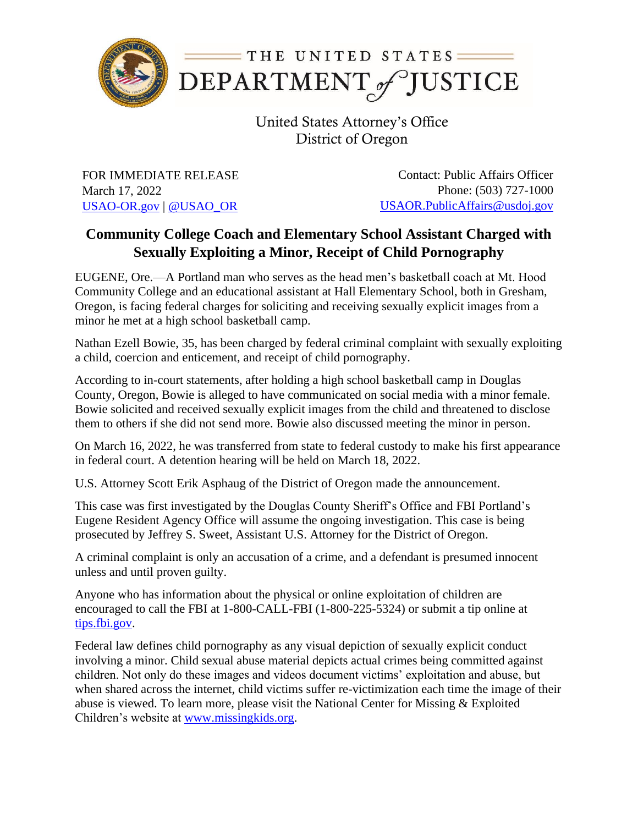

United States Attorney's Office District of Oregon

FOR IMMEDIATE RELEASE March 17, 2022 [USAO-OR.gov](http://www.usdoj.gov/usao/or) | [@USAO\\_OR](https://twitter.com/USAO_OR)

Contact: Public Affairs Officer Phone: (503) 727-1000 [USAOR.PublicAffairs@usdoj.gov](mailto:usaor.publicaffairs@usdoj.gov)

## **Community College Coach and Elementary School Assistant Charged with Sexually Exploiting a Minor, Receipt of Child Pornography**

EUGENE, Ore.—A Portland man who serves as the head men's basketball coach at Mt. Hood Community College and an educational assistant at Hall Elementary School, both in Gresham, Oregon, is facing federal charges for soliciting and receiving sexually explicit images from a minor he met at a high school basketball camp.

Nathan Ezell Bowie, 35, has been charged by federal criminal complaint with sexually exploiting a child, coercion and enticement, and receipt of child pornography.

According to in-court statements, after holding a high school basketball camp in Douglas County, Oregon, Bowie is alleged to have communicated on social media with a minor female. Bowie solicited and received sexually explicit images from the child and threatened to disclose them to others if she did not send more. Bowie also discussed meeting the minor in person.

On March 16, 2022, he was transferred from state to federal custody to make his first appearance in federal court. A detention hearing will be held on March 18, 2022.

U.S. Attorney Scott Erik Asphaug of the District of Oregon made the announcement.

This case was first investigated by the Douglas County Sheriff's Office and FBI Portland's Eugene Resident Agency Office will assume the ongoing investigation. This case is being prosecuted by Jeffrey S. Sweet, Assistant U.S. Attorney for the District of Oregon.

A criminal complaint is only an accusation of a crime, and a defendant is presumed innocent unless and until proven guilty.

Anyone who has information about the physical or online exploitation of children are encouraged to call the FBI at 1-800-CALL-FBI (1-800-225-5324) or submit a tip online at [tips.fbi.gov.](https://tips.fbi.gov/)

Federal law defines child pornography as any visual depiction of sexually explicit conduct involving a minor. Child sexual abuse material depicts actual crimes being committed against children. Not only do these images and videos document victims' exploitation and abuse, but when shared across the internet, child victims suffer re-victimization each time the image of their abuse is viewed. To learn more, please visit the National Center for Missing & Exploited Children's website at [www.missingkids.org.](file:///C:/Users/ksonoff/Desktop/www.missingkids.org)